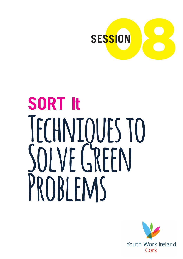

# **SORT It Techniques to**  SOLVE GREEN **Problems**

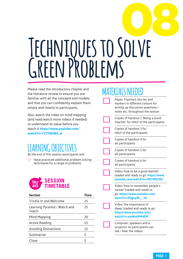# 08 **Techniques to Solve Green Problems**

Please read the introductory chapter and the literature review to ensure you are familiar with all the concepts and models, and that you can confidently explain them simply and clearly to participants.

Also, watch the video on mind mapping (and read/watch more videos if needed) to understand its value before you teach it **https://www.youtube.com/ watch?v=71YYINsBG\_w**

# AKNING OBJEC

By the end of this session participants will:

 $\triangleright$  Have practiced additional problem solving techniques for a range of problems



| <b>Time</b> |
|-------------|
| 15          |
| 25          |
| 20          |
| 15          |
| 15          |
| 5           |
| 5           |
|             |

# **MATERIALS NEEDED**

| Paper, Flipchart, blu-tac and<br>markers in different colours for<br>writing up discussion questions /<br>notes etc. throughout the session |
|---------------------------------------------------------------------------------------------------------------------------------------------|
| Copies of handout 1 'Being a Good<br>Teacher' for HALF of the participants                                                                  |
| Copies of handout 3 for<br><b>HALF</b> of the participants                                                                                  |
| Copies of handout 4 for<br>all participants                                                                                                 |
| Copies of handout 5 for<br>all participants                                                                                                 |
| Copies of handout 6 for<br>all participants                                                                                                 |
| Video 'how to be a good teacher'<br>loaded and ready to go: https://www.<br>youtube.com/watch?v=VfK7tfDCSIk                                 |
| Video 'how to remember people's<br>names' loaded and ready to<br>go: https://www.youtube.com/<br>watch?v=XQgcpW_-_1E                        |
| Video 'the importance of<br>sleep' loaded and ready to go:<br>https://www.youtube.com/<br>watch?v=xxxWv6PM4EM                               |
| Computer, speakers and a<br>projector so participants can<br>see / hear the videos                                                          |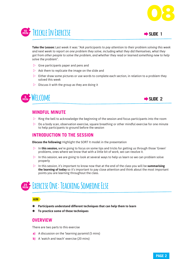



**Take the Lesson:** Last week it was: "*Ask participants to pay attention to their problem solving this week and next week to report on one problem they solve, including what they did themselves, what they got from other people to solve the problem, and whether they read or learned something new to help solve the problem".*

- $\triangleright$  Give participants paper and pens and
- $\triangleright$  Ask them to replicate the image on the slide and
- $\triangleright$  Either draw some pictures or use words to complete each section, in relation to a problem they solved this week
- $\triangleright$  Discuss it with the group as they are doing it





## **MINDFUL MINUTE**

- $\triangleright$  Ring the bell to acknowledge the beginning of the session and focus participants into the room
- $\triangleright$  Do a body scan, observation exercise, square breathing or other mindful exercise for one minute to help participants to ground before the session

## **INTRODUCTION TO THE SESSION**

**Discuss the following:** Highlight the SORT It model in the presentation

- $\triangleright$  In **this session,** we're going to focus on some tips and tricks for getting us through those 'Green' problems, ones where we know that with a little bit of work, we can resolve it.
- $\triangleright$  In this session, we are going to look at several ways to help us learn so we can problem solve properly
- $\triangleright$  In this session, it's important to know now that at the end of the class you will be **summarising the learning of today** so it's important to pay close attention and think about the most important points you are learning throughout the class.

# **25 MIN Exercise One: Teaching Someone Else**

#### **AIM**

- ß **Participants understand different techniques that can help them to learn**
- ß **To practice some of these techniques**

### **OVERVIEW**

There are two parts to this exercise

- **a)** A discussion on the 'learning pyramid (5 mins)
- **b)** A 'watch and teach' exercise (20 mins)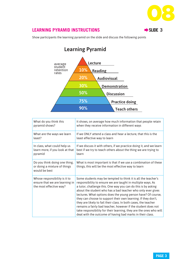

## **LEARNING PYRAMID INSTRUCTIONS ■ SLIDE 3**

Show participants the learning pyramid on the slide and discuss the following points



| What do you think this                                                                     | It shows, on average how much information that people retain                                                                                                                                                                                                                                                                                                                                                                                                                                                                                                                                                                                                          |
|--------------------------------------------------------------------------------------------|-----------------------------------------------------------------------------------------------------------------------------------------------------------------------------------------------------------------------------------------------------------------------------------------------------------------------------------------------------------------------------------------------------------------------------------------------------------------------------------------------------------------------------------------------------------------------------------------------------------------------------------------------------------------------|
| pyramid shows?                                                                             | when they receive information in different ways                                                                                                                                                                                                                                                                                                                                                                                                                                                                                                                                                                                                                       |
| What are the ways we learn                                                                 | If we ONLY attend a class and hear a lecture, that this is the                                                                                                                                                                                                                                                                                                                                                                                                                                                                                                                                                                                                        |
| least?                                                                                     | least effective way to learn                                                                                                                                                                                                                                                                                                                                                                                                                                                                                                                                                                                                                                          |
| In class, what could help us                                                               | If we discuss it with others, if we practice doing it, and we learn                                                                                                                                                                                                                                                                                                                                                                                                                                                                                                                                                                                                   |
| learn more, if you look at that                                                            | best if we try to teach others about the thing we are trying to                                                                                                                                                                                                                                                                                                                                                                                                                                                                                                                                                                                                       |
| pyramid                                                                                    | learn                                                                                                                                                                                                                                                                                                                                                                                                                                                                                                                                                                                                                                                                 |
| Do you think doing one thing,<br>or doing a mixture of things<br>would be best             | What is most important is that if we use a combination of these<br>things, this will be the most effective way to learn                                                                                                                                                                                                                                                                                                                                                                                                                                                                                                                                               |
| Whose responsibility is it to<br>ensure that we are learning in<br>the most effective way? | Some students may be tempted to think it is all the teacher's<br>responsibility to ensure we are taught in multiple ways. As<br>a tutor, challenge this. One way you can do this is by asking<br>about the student who has a bad teacher who only ever gives<br>lectures. What options does the young person have? Of course,<br>they can choose to support their own learning. If they don't,<br>they are likely to fail their class. In both cases, the teacher<br>remains a fairly bad teacher, however if the student does not<br>take responsibility for their learning, they are the ones who will<br>deal with the outcome of having bad marks in their class. |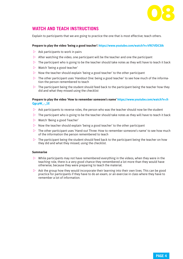

## **WATCH AND TEACH INSTRUCTIONS**

Explain to participants that we are going to practice the one that is most effective; teach others.

#### **Prepare to play the video 'being a good teacher': https://www.youtube.com/watch?v=VfK7tfDCSIk**

- $\triangleright$  Ask participants to work in pairs
- $\triangleright$  After watching the video, one participant will be the teacher and one the participant
- $\triangleright$  The participant who is going to be the teacher should take notes as they will have to teach it back
- $\triangleright$  Watch 'being a good teacher'
- $\triangleright$  Now the teacher should explain 'being a good teacher' to the other participant
- $\triangleright$  The other participant uses 'Handout One: being a good teacher' to see how much of the information the person remembered to teach
- $\triangleright$  The participant being the student should feed back to the participant being the teacher how they did and what they missed using the checklist

#### **Prepare to play the video 'How to remember someone's name' https://www.youtube.com/watch?v=X-QgcpW\_-\_1E**

- $\triangleright$  Ask participants to reverse roles, the person who was the teacher should now be the student
- $\triangleright$  The participant who is going to be the teacher should take notes as they will have to teach it back
- $\triangleright$  Watch 'Being a good Teacher'
- $\triangleright$  Now the teacher should explain 'being a good teacher' to the other participant
- $\triangleright$  The other participant uses 'Hand-out Three: How to remember someone's name' to see how much of the information the person remembered to teach
- $\triangleright$  The participant being the student should feed back to the participant being the teacher on how they did and what they missed, using the checklist.

#### **Summarise**

- $\triangleright$  While participants may not have remembered everything in the videos, when they were in the teaching role, there is a very good chance they remembered a lot more than they would have otherwise, because they were preparing to teach the material.
- $\triangleright$  Ask the group how they would incorporate their learning into their own lives. This can be good practice for participants if they have to do an exam, or an exercise in class where they have to remember a lot of information.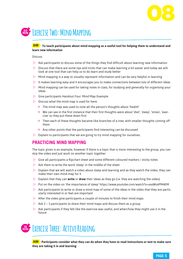

# **20 MIN Exercise Two: Mind Mapping**

#### **AIM To teach participants about mind-mapping as a useful tool for helping them to understand and learn new information**

#### **Discuss**

- $\triangleright$  Ask participants to discuss some of the things they find difficult about learning new information
- $\triangleright$  Discuss that there are some tips and tricks that can make learning a bit easier and today we will look at one tool that can help us to do learn and study better
- $\triangleright$  Mind mapping is a way to visually represent information and can be very helpful in learning
- $\triangleright$  It makes learning easy and it encourages you to make connections between lots of different ideas
- $\triangleright$  Mind mapping can be used for taking notes in class, for studying and generally for organising your ideas
- $\triangleright$  Give participants Handout Four: Mind Map Example
- $\triangleright$  Discuss what the mind map is used for here:
	- $\rightarrow$  The mind map was used to note all the person's thoughts about 'health'
	- $\rightarrow$  We can see in the first instance that their first thoughts were about 'diet', 'sleep', 'stress', 'exercise' so they put these down first
	- $\rightarrow$  Then each of these thoughts became like branches of a tree, with smaller thoughts coming off them
	- $\rightarrow$  Any other points that the participants find interesting can be discussed
- $\triangleright$  Explain to participants that we are going to try mind mapping for ourselves.

### **PRACTICING MIND MAPPING**

The topic given is an example, however if there is a topic that is more interesting to the group, you can skip the video and just work on another topic together

- $\triangleright$  Give all participants a flipchart sheet and some different coloured markers / sticky notes
- $\triangleright$  Ask them to write the word 'sleep' in the middle of the sheet
- $\triangleright$  Explain that we will watch a video about sleep and learning and as they watch the video, they can make their own mind-map for it
- $\triangleright$  Explain that they can **write** or **draw** their ideas as they go (i.e. they are watching the video)
- $\triangleright$  Put on the video on 'the importance of sleep' https://www.youtube.com/watch?v=xxxWv6PM4EM
- $\triangleright$  Ask participants to write or draw a mind map of some of the ideas in the video that they are particularly interested in or feel are important
- $\triangleright$  After the video give participants a couple of minutes to finish their mind maps
- $\triangleright$  Ask 2 3 participants to share their mind maps and discuss them as a group
- $\triangleright$  Ask participants if they felt like the exercise was useful, and when/how they might use it in the future

# **15 MIN Exercise Three: Active Reading**

**AIM Participants consider what they can do when they have to read instructions or text to make sure they are taking it in and learning**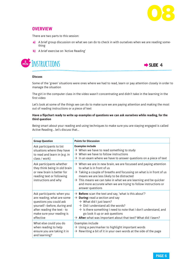

## **OVERVIEW**

There are two parts to this session:

- **a)** A brief group discussion on what we can do to check in with ourselves when we are reading something
- **b)** A brief exercise on 'Active Reading'





#### **Discuss**

Some of the 'green' situations were ones where we had to read, learn or pay attention closely in order to manage the situation

The girl in the computer class in the video wasn't concentrating and didn't take in the learning in the first video

Let's look at some of the things we can do to make sure we are paying attention and making the most out of reading instructions or a piece of text

#### **Have a flipchart ready to write up examples of questions we can ask ourselves while reading, for the third question**

Being smart about your reading and using techniques to make sure you are staying engaged is called Active Reading… let's discuss that…

| <b>Group Question</b>                                                                                                                                                                       | <b>Points for Discussion</b>                                                                                                                                                                                                                                                                                                                                                                                    |
|---------------------------------------------------------------------------------------------------------------------------------------------------------------------------------------------|-----------------------------------------------------------------------------------------------------------------------------------------------------------------------------------------------------------------------------------------------------------------------------------------------------------------------------------------------------------------------------------------------------------------|
| Ask participants to list<br>situations where they have<br>to read and learn in (e.g. in<br>class / work)                                                                                    | <b>Examples include</b><br>$\rightarrow$ When we have to read something to study<br>$\rightarrow$ When we have to follow instructions<br>$\rightarrow$ In an exam where we have to answer questions on a piece of text                                                                                                                                                                                          |
| Ask participants whether<br>they think being in old brain<br>or new brain is better for<br>reading text or following<br>instructions and why                                                | $\rightarrow$ When we are in new brain, we are focussed and paying attention<br>to what is in front of us<br>$\rightarrow$ Taking a couple of breaths and focussing on what is in front of us<br>means we are less likely to be distracted<br>$\rightarrow$ This means we can take in what we are learning and be quicker<br>and more accurate when we are trying to follow instructions or<br>answer questions |
| Ask participants: when you<br>are reading, what are some<br>questions you could ask<br>yourself-before, during and<br>after reading the text - to<br>make sure your reading is<br>effective | $\rightarrow$ Before: scan the text and say, 'what is this about'?<br>$\rightarrow$ During: read a section and say<br>$\rightarrow$ What did I just learn?<br>$\rightarrow$ Did I understand all the words?<br>$\rightarrow$ Is there something I need to note that I don't understand, and<br>go look it up or ask questions<br>$\rightarrow$ After: what was important about that text? What did I learn?     |
| What else could you do<br>when reading to help<br>ensure you are taking it in<br>and learning?                                                                                              | Examples include<br>$\rightarrow$ Using a pen/marker to highlight important words<br>$\rightarrow$ Rewriting a bit of it in your own words at the side of the page                                                                                                                                                                                                                                              |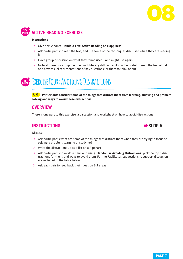



#### **Instructions**

- w Give participants '**Handout Five: Active Reading on Happiness**'
- $\triangleright$  Ask participants to read the text, and use some of the techniques discussed while they are reading it
- $\triangleright$  Have group discussion on what they found useful and might use again
- $\triangleright$  Note; if there is a group member with literacy difficulties it may be useful to read the text aloud and have visual representations of key questions for them to think about

# **15 MIN Exercise Four: Avoiding Distractions**

**AIM Participants consider some of the things that distract them from learning, studying and problem solving and ways to avoid these distractions**

## **OVERVIEW**

There is one part to this exercise: a discussion and worksheet on how to avoid distractions

## **INSTRUCTIONS** Æ**SLIDE 5**



Discuss:

- $\triangleright$  Ask participants what are some of the things that distract them when they are trying to focus on solving a problem, learning or studying?
- $\triangleright$  Write the distractions up as a list on a flipchart
- w Ask participants to work in pairs and using '**Handout 6: Avoiding Distractions**', pick the top 5 distractions for them, and ways to avoid them. For the Facilitator, suggestions to support discussion are included in the table below.
- $\triangleright$  Ask each pair to feed back their ideas on 2-3 areas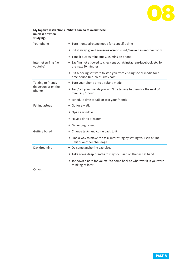

| My top five distractions<br>(in class or when<br>studying) | What I can do to avoid these                                                                                          |
|------------------------------------------------------------|-----------------------------------------------------------------------------------------------------------------------|
| Your phone                                                 | $\rightarrow$ Turn it onto airplane mode for a specific time                                                          |
|                                                            | $\rightarrow$ Put it away, give it someone else to mind / leave it in another room                                    |
|                                                            | $\rightarrow$ Time it out: 30 mins study, 15 mins on phone                                                            |
| Internet surfing (i.e.<br>youtube)                         | $\rightarrow$ Say 'I'm not allowed to check snapchat/instagram/facebook etc. for<br>the next 30 minutes               |
|                                                            | $\rightarrow$ Put blocking software to stop you from visiting social media for a<br>time period like 'coldturkey.com' |
| Talking to friends                                         | $\rightarrow$ Turn your phone onto airplane mode                                                                      |
| (in person or on the<br>phone)                             | $\rightarrow$ Text/tell your friends you won't be talking to them for the next 30<br>minutes / 1 hour                 |
|                                                            | $\rightarrow$ Schedule time to talk or text your friends                                                              |
| Falling asleep                                             | $\rightarrow$ Go for a walk                                                                                           |
|                                                            | $\rightarrow$ Open a window                                                                                           |
|                                                            | $\rightarrow$ Have a drink of water                                                                                   |
|                                                            | $\rightarrow$ Get enough sleep                                                                                        |
| Getting bored                                              | $\rightarrow$ Change tasks and come back to it                                                                        |
|                                                            | $\rightarrow$ Find a way to make the task interesting by setting yourself a time<br>limit or another challenge        |
| Day dreaming                                               | $\rightarrow$ Do some anchoring exercises                                                                             |
|                                                            | $\rightarrow$ Take some deep breaths to stay focussed on the task at hand                                             |
|                                                            | $\rightarrow$ Jot down a note for yourself to come back to whatever it is you were<br>thinking of later               |
| Other:                                                     |                                                                                                                       |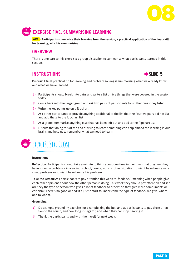

# **5 MIN EXERCISE FIVE: SUMMARISING LEARNING**

**AIM Participants summarise their learning from the session, a practical application of the final skill for learning, which is summarising.**

## **OVERVIEW**

There is one part to this exercise: a group discussion to summarise what participants learned in this session.

## **EXECUTIONS EXECUTIONS**



**Discuss:** A final practical tip for learning and problem solving is summarising what we already know and what we have learned

- $\triangleright$  Participants should break into pairs and write a list of five things that were covered in the session today
- $\triangleright$  Come back into the larger group and ask two pairs of participants to list the things they listed
- $\triangleright$  Write the key points up on a flipchart
- $\triangleright$  Ask other participants to provide anything additional to the list that the first two pairs did not list and add these to the flipchart list
- $\triangleright$  As a group, summarise anything else that has been left out and add to the flipchart list
- $\triangleright$  Discuss that doing this at the end of trying to learn something can help embed the learning in our brains and help us to remember what we need to learn

# **5 MIN Exercise Six: Close**

#### **Instructions**

**Reflection:** Participants should take a minute to think about one time in their lives that they feel they have solved a problem – in a social, , school, family, work or other situation. It might have been a very small problem, or it might have been a big problem

**Take the Lesson:** Ask participants to pay attention this week to 'feedback', meaning when people give each other opinions about how the other person is doing. This week they should pay attention and see are they the type of person who gives a lot of feedback to others; do they give more compliments or criticism? There's no good or bad; it's just to start to understand the type of feedback we give, where, and to whom?

#### **Grounding:**

- **a)** Do a simple grounding exercise; for example, ring the bell and as participants to pay close attention to the sound, and how long it rings for, and when they can stop hearing it
- **b)** Thank the participants and wish them well for next week.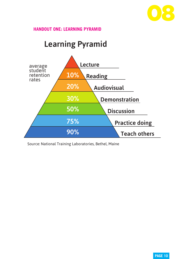

# **HANDOUT ONE: LEARNING PYRAMID**

# Learning Pyramid



Source: National Training Laboratories, Bethel, Maine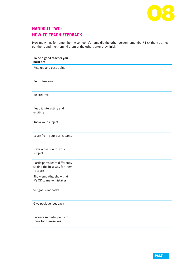

# **HANDOUT TWO: HOW TO TEACH FEEDBACK**

How many tips for remembering someone's name did the other person remember? Tick them as they get them, and then remind them of the others after they finish

| To be a good teacher you<br>must be:                                        |  |
|-----------------------------------------------------------------------------|--|
| Relaxed and easy going                                                      |  |
| Be professional                                                             |  |
| Be creative                                                                 |  |
| Keep it interesting and<br>exciting                                         |  |
| Know your subject                                                           |  |
| Learn from your participants                                                |  |
| Have a passion for your<br>subject                                          |  |
| Participants learn differently<br>so find the best way for them<br>to learn |  |
| Show empathy, show that<br>it's OK to make mistakes                         |  |
| Set goals and tasks                                                         |  |
| Give positive feedback                                                      |  |
| Encourage participants to<br>think for themselves                           |  |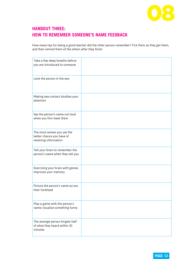

# **HANDOUT THREE: HOW TO REMEMBER SOMEONE'S NAME FEEDBACK**

How many tips for being a good teacher did the other person remember? Tick them as they get them, and then remind them of the others after they finish

| Take a few deep breaths before<br>you are introduced to someone                   |  |
|-----------------------------------------------------------------------------------|--|
| Look the person in the eye                                                        |  |
| Making eye contact doubles your<br>attention                                      |  |
| Say the person's name out loud<br>when you first meet them                        |  |
| The more senses you use the<br>better chance you have of<br>retaining information |  |
| Tell your brain to remember the<br>person's name when they tell you               |  |
| Exercising your brain with games<br>improves your memory                          |  |
| Picture the person's name across<br>their forehead                                |  |
| Play a game with the person's<br>name; visualise something funny                  |  |
| The average person forgets half<br>of what they heard within 30<br>minutes        |  |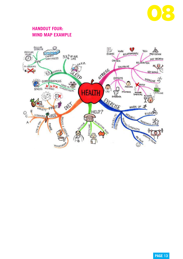

# **HANDOUT FOUR: MIND MAP EXAMPLE**

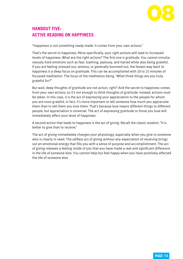

# **HANDOUT FIVE: ACTIVE READING ON HAPPINESS**

"Happiness is not something ready-made. It comes from your own actions."

That's the secret to happiness. More specifically, your right actions will lead to increased levels of happiness. What are the right actions? The first one is gratitude. You cannot simultaneously hold emotions such as fear, loathing, jealousy, and hatred while also being grateful. If you are feeling stressed out, anxious, or generally bummed out, the fastest way back to happiness is a deep focus on gratitude. This can be accomplished with 10 to 15 minutes of focussed meditation. The focus of the meditation being, "What three things are you truly grateful for?"

But wait, deep thoughts of gratitude are not action, right? And the secret to happiness comes from your own actions, so it's not enough to think thoughts of gratitude. Instead, actions must be taken. In this case, it is the act of expressing your appreciation to the people for whom you are most grateful. In fact, it's more important to tell someone how much you appreciate them than to tell them you love them. That's because love means different things to different people, but appreciation is universal. The act of expressing gratitude to those you love will immediately affect your level of happiness.

A second action that leads to happiness is the act of giving. Recall the classic wisdom, "It is better to give than to receive."

The act of giving immediately changes your physiology, especially when you give to someone who is clearly in need. The selfless act of giving without any expectation of receiving brings out an emotional energy that fills you with a sense of purpose and accomplishment. The act of giving releases a feeling inside of you that you have made a real and significant difference in the life of someone else. You cannot help but feel happy when you have positively affected the life of someone else.